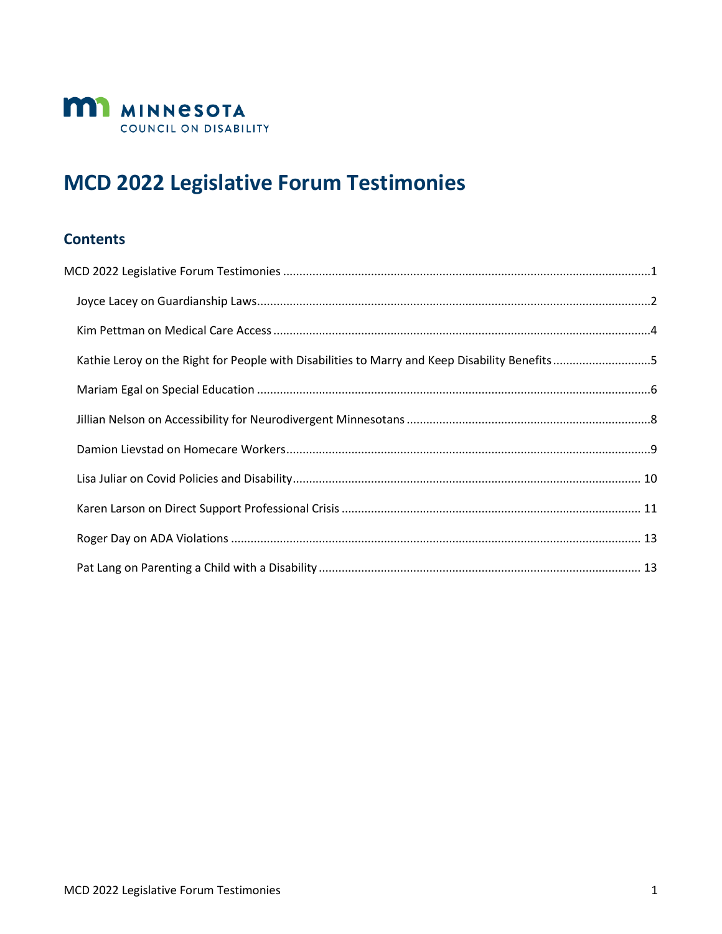

# <span id="page-0-0"></span>**MCD 2022 Legislative Forum Testimonies**

#### **Contents**

| Kathie Leroy on the Right for People with Disabilities to Marry and Keep Disability Benefits5 |  |
|-----------------------------------------------------------------------------------------------|--|
|                                                                                               |  |
|                                                                                               |  |
|                                                                                               |  |
|                                                                                               |  |
|                                                                                               |  |
|                                                                                               |  |
|                                                                                               |  |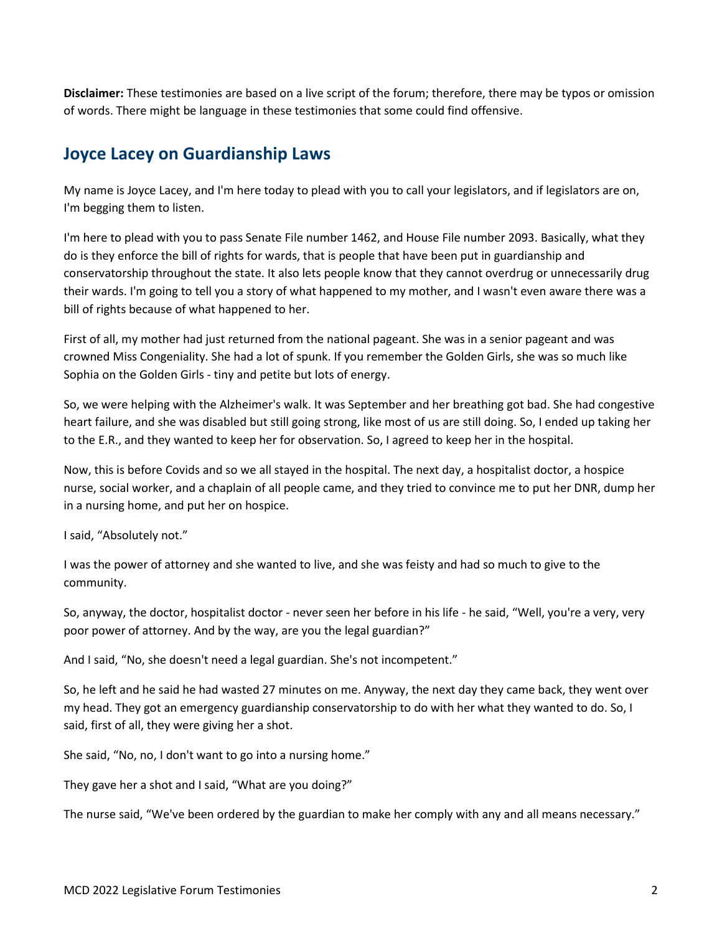<span id="page-1-0"></span>**Disclaimer:** These testimonies are based on a live script of the forum; therefore, there may be typos or omission of words. There might be language in these testimonies that some could find offensive.

#### **Joyce Lacey on Guardianship Laws**

My name is Joyce Lacey, and I'm here today to plead with you to call your legislators, and if legislators are on, I'm begging them to listen.

I'm here to plead with you to pass Senate File number 1462, and House File number 2093. Basically, what they do is they enforce the bill of rights for wards, that is people that have been put in guardianship and conservatorship throughout the state. It also lets people know that they cannot overdrug or unnecessarily drug their wards. I'm going to tell you a story of what happened to my mother, and I wasn't even aware there was a bill of rights because of what happened to her.

First of all, my mother had just returned from the national pageant. She was in a senior pageant and was crowned Miss Congeniality. She had a lot of spunk. If you remember the Golden Girls, she was so much like Sophia on the Golden Girls - tiny and petite but lots of energy.

So, we were helping with the Alzheimer's walk. It was September and her breathing got bad. She had congestive heart failure, and she was disabled but still going strong, like most of us are still doing. So, I ended up taking her to the E.R., and they wanted to keep her for observation. So, I agreed to keep her in the hospital.

Now, this is before Covids and so we all stayed in the hospital. The next day, a hospitalist doctor, a hospice nurse, social worker, and a chaplain of all people came, and they tried to convince me to put her DNR, dump her in a nursing home, and put her on hospice.

I said, "Absolutely not."

I was the power of attorney and she wanted to live, and she was feisty and had so much to give to the community.

So, anyway, the doctor, hospitalist doctor - never seen her before in his life - he said, "Well, you're a very, very poor power of attorney. And by the way, are you the legal guardian?"

And I said, "No, she doesn't need a legal guardian. She's not incompetent."

So, he left and he said he had wasted 27 minutes on me. Anyway, the next day they came back, they went over my head. They got an emergency guardianship conservatorship to do with her what they wanted to do. So, I said, first of all, they were giving her a shot.

She said, "No, no, I don't want to go into a nursing home."

They gave her a shot and I said, "What are you doing?"

The nurse said, "We've been ordered by the guardian to make her comply with any and all means necessary."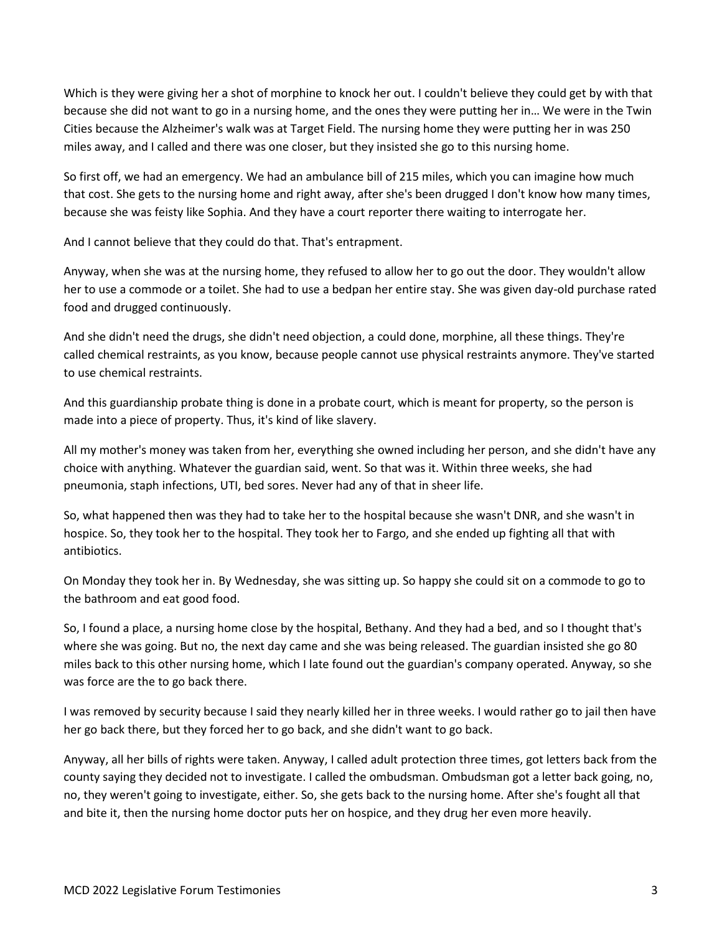Which is they were giving her a shot of morphine to knock her out. I couldn't believe they could get by with that because she did not want to go in a nursing home, and the ones they were putting her in… We were in the Twin Cities because the Alzheimer's walk was at Target Field. The nursing home they were putting her in was 250 miles away, and I called and there was one closer, but they insisted she go to this nursing home.

So first off, we had an emergency. We had an ambulance bill of 215 miles, which you can imagine how much that cost. She gets to the nursing home and right away, after she's been drugged I don't know how many times, because she was feisty like Sophia. And they have a court reporter there waiting to interrogate her.

And I cannot believe that they could do that. That's entrapment.

Anyway, when she was at the nursing home, they refused to allow her to go out the door. They wouldn't allow her to use a commode or a toilet. She had to use a bedpan her entire stay. She was given day-old purchase rated food and drugged continuously.

And she didn't need the drugs, she didn't need objection, a could done, morphine, all these things. They're called chemical restraints, as you know, because people cannot use physical restraints anymore. They've started to use chemical restraints.

And this guardianship probate thing is done in a probate court, which is meant for property, so the person is made into a piece of property. Thus, it's kind of like slavery.

All my mother's money was taken from her, everything she owned including her person, and she didn't have any choice with anything. Whatever the guardian said, went. So that was it. Within three weeks, she had pneumonia, staph infections, UTI, bed sores. Never had any of that in sheer life.

So, what happened then was they had to take her to the hospital because she wasn't DNR, and she wasn't in hospice. So, they took her to the hospital. They took her to Fargo, and she ended up fighting all that with antibiotics.

On Monday they took her in. By Wednesday, she was sitting up. So happy she could sit on a commode to go to the bathroom and eat good food.

So, I found a place, a nursing home close by the hospital, Bethany. And they had a bed, and so I thought that's where she was going. But no, the next day came and she was being released. The guardian insisted she go 80 miles back to this other nursing home, which I late found out the guardian's company operated. Anyway, so she was force are the to go back there.

I was removed by security because I said they nearly killed her in three weeks. I would rather go to jail then have her go back there, but they forced her to go back, and she didn't want to go back.

Anyway, all her bills of rights were taken. Anyway, I called adult protection three times, got letters back from the county saying they decided not to investigate. I called the ombudsman. Ombudsman got a letter back going, no, no, they weren't going to investigate, either. So, she gets back to the nursing home. After she's fought all that and bite it, then the nursing home doctor puts her on hospice, and they drug her even more heavily.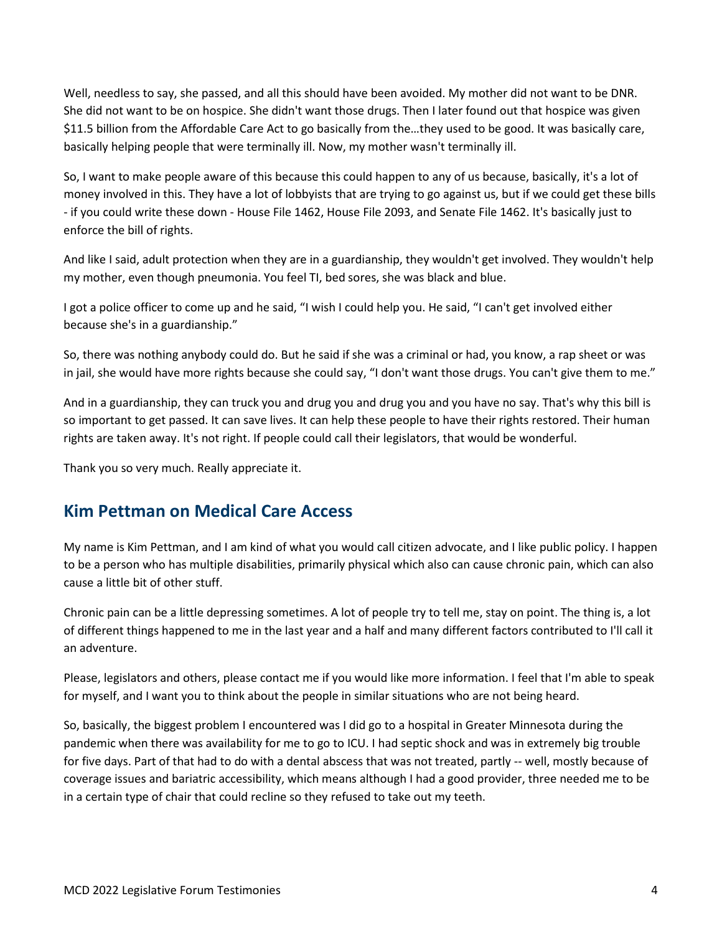Well, needless to say, she passed, and all this should have been avoided. My mother did not want to be DNR. She did not want to be on hospice. She didn't want those drugs. Then I later found out that hospice was given \$11.5 billion from the Affordable Care Act to go basically from the…they used to be good. It was basically care, basically helping people that were terminally ill. Now, my mother wasn't terminally ill.

So, I want to make people aware of this because this could happen to any of us because, basically, it's a lot of money involved in this. They have a lot of lobbyists that are trying to go against us, but if we could get these bills - if you could write these down - House File 1462, House File 2093, and Senate File 1462. It's basically just to enforce the bill of rights.

And like I said, adult protection when they are in a guardianship, they wouldn't get involved. They wouldn't help my mother, even though pneumonia. You feel TI, bed sores, she was black and blue.

I got a police officer to come up and he said, "I wish I could help you. He said, "I can't get involved either because she's in a guardianship."

So, there was nothing anybody could do. But he said if she was a criminal or had, you know, a rap sheet or was in jail, she would have more rights because she could say, "I don't want those drugs. You can't give them to me."

And in a guardianship, they can truck you and drug you and drug you and you have no say. That's why this bill is so important to get passed. It can save lives. It can help these people to have their rights restored. Their human rights are taken away. It's not right. If people could call their legislators, that would be wonderful.

Thank you so very much. Really appreciate it.

### <span id="page-3-0"></span>**Kim Pettman on Medical Care Access**

My name is Kim Pettman, and I am kind of what you would call citizen advocate, and I like public policy. I happen to be a person who has multiple disabilities, primarily physical which also can cause chronic pain, which can also cause a little bit of other stuff.

Chronic pain can be a little depressing sometimes. A lot of people try to tell me, stay on point. The thing is, a lot of different things happened to me in the last year and a half and many different factors contributed to I'll call it an adventure.

Please, legislators and others, please contact me if you would like more information. I feel that I'm able to speak for myself, and I want you to think about the people in similar situations who are not being heard.

So, basically, the biggest problem I encountered was I did go to a hospital in Greater Minnesota during the pandemic when there was availability for me to go to ICU. I had septic shock and was in extremely big trouble for five days. Part of that had to do with a dental abscess that was not treated, partly -- well, mostly because of coverage issues and bariatric accessibility, which means although I had a good provider, three needed me to be in a certain type of chair that could recline so they refused to take out my teeth.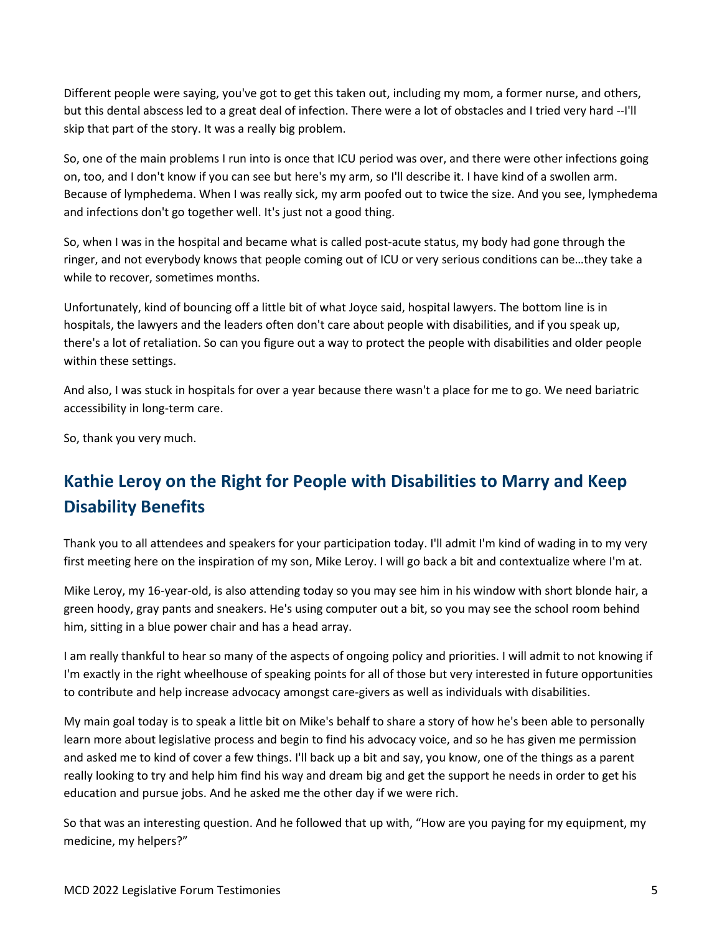Different people were saying, you've got to get this taken out, including my mom, a former nurse, and others, but this dental abscess led to a great deal of infection. There were a lot of obstacles and I tried very hard --I'll skip that part of the story. It was a really big problem.

So, one of the main problems I run into is once that ICU period was over, and there were other infections going on, too, and I don't know if you can see but here's my arm, so I'll describe it. I have kind of a swollen arm. Because of lymphedema. When I was really sick, my arm poofed out to twice the size. And you see, lymphedema and infections don't go together well. It's just not a good thing.

So, when I was in the hospital and became what is called post-acute status, my body had gone through the ringer, and not everybody knows that people coming out of ICU or very serious conditions can be…they take a while to recover, sometimes months.

Unfortunately, kind of bouncing off a little bit of what Joyce said, hospital lawyers. The bottom line is in hospitals, the lawyers and the leaders often don't care about people with disabilities, and if you speak up, there's a lot of retaliation. So can you figure out a way to protect the people with disabilities and older people within these settings.

And also, I was stuck in hospitals for over a year because there wasn't a place for me to go. We need bariatric accessibility in long-term care.

So, thank you very much.

## <span id="page-4-0"></span>**Kathie Leroy on the Right for People with Disabilities to Marry and Keep Disability Benefits**

Thank you to all attendees and speakers for your participation today. I'll admit I'm kind of wading in to my very first meeting here on the inspiration of my son, Mike Leroy. I will go back a bit and contextualize where I'm at.

Mike Leroy, my 16-year-old, is also attending today so you may see him in his window with short blonde hair, a green hoody, gray pants and sneakers. He's using computer out a bit, so you may see the school room behind him, sitting in a blue power chair and has a head array.

I am really thankful to hear so many of the aspects of ongoing policy and priorities. I will admit to not knowing if I'm exactly in the right wheelhouse of speaking points for all of those but very interested in future opportunities to contribute and help increase advocacy amongst care-givers as well as individuals with disabilities.

My main goal today is to speak a little bit on Mike's behalf to share a story of how he's been able to personally learn more about legislative process and begin to find his advocacy voice, and so he has given me permission and asked me to kind of cover a few things. I'll back up a bit and say, you know, one of the things as a parent really looking to try and help him find his way and dream big and get the support he needs in order to get his education and pursue jobs. And he asked me the other day if we were rich.

So that was an interesting question. And he followed that up with, "How are you paying for my equipment, my medicine, my helpers?"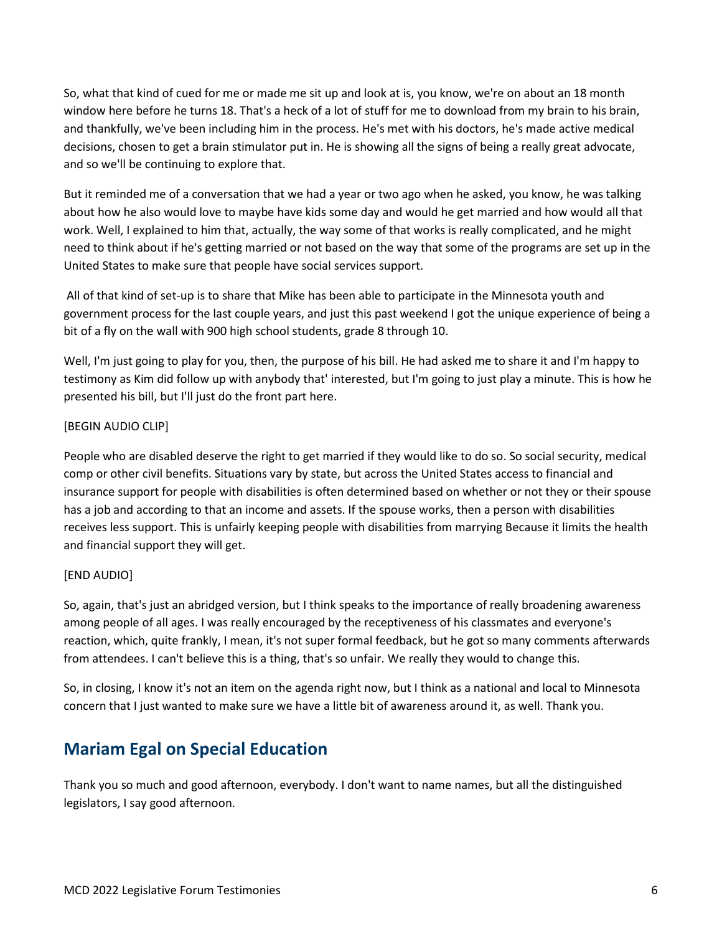So, what that kind of cued for me or made me sit up and look at is, you know, we're on about an 18 month window here before he turns 18. That's a heck of a lot of stuff for me to download from my brain to his brain, and thankfully, we've been including him in the process. He's met with his doctors, he's made active medical decisions, chosen to get a brain stimulator put in. He is showing all the signs of being a really great advocate, and so we'll be continuing to explore that.

But it reminded me of a conversation that we had a year or two ago when he asked, you know, he was talking about how he also would love to maybe have kids some day and would he get married and how would all that work. Well, I explained to him that, actually, the way some of that works is really complicated, and he might need to think about if he's getting married or not based on the way that some of the programs are set up in the United States to make sure that people have social services support.

All of that kind of set-up is to share that Mike has been able to participate in the Minnesota youth and government process for the last couple years, and just this past weekend I got the unique experience of being a bit of a fly on the wall with 900 high school students, grade 8 through 10.

Well, I'm just going to play for you, then, the purpose of his bill. He had asked me to share it and I'm happy to testimony as Kim did follow up with anybody that' interested, but I'm going to just play a minute. This is how he presented his bill, but I'll just do the front part here.

#### [BEGIN AUDIO CLIP]

People who are disabled deserve the right to get married if they would like to do so. So social security, medical comp or other civil benefits. Situations vary by state, but across the United States access to financial and insurance support for people with disabilities is often determined based on whether or not they or their spouse has a job and according to that an income and assets. If the spouse works, then a person with disabilities receives less support. This is unfairly keeping people with disabilities from marrying Because it limits the health and financial support they will get.

#### [END AUDIO]

So, again, that's just an abridged version, but I think speaks to the importance of really broadening awareness among people of all ages. I was really encouraged by the receptiveness of his classmates and everyone's reaction, which, quite frankly, I mean, it's not super formal feedback, but he got so many comments afterwards from attendees. I can't believe this is a thing, that's so unfair. We really they would to change this.

So, in closing, I know it's not an item on the agenda right now, but I think as a national and local to Minnesota concern that I just wanted to make sure we have a little bit of awareness around it, as well. Thank you.

### <span id="page-5-0"></span>**Mariam Egal on Special Education**

Thank you so much and good afternoon, everybody. I don't want to name names, but all the distinguished legislators, I say good afternoon.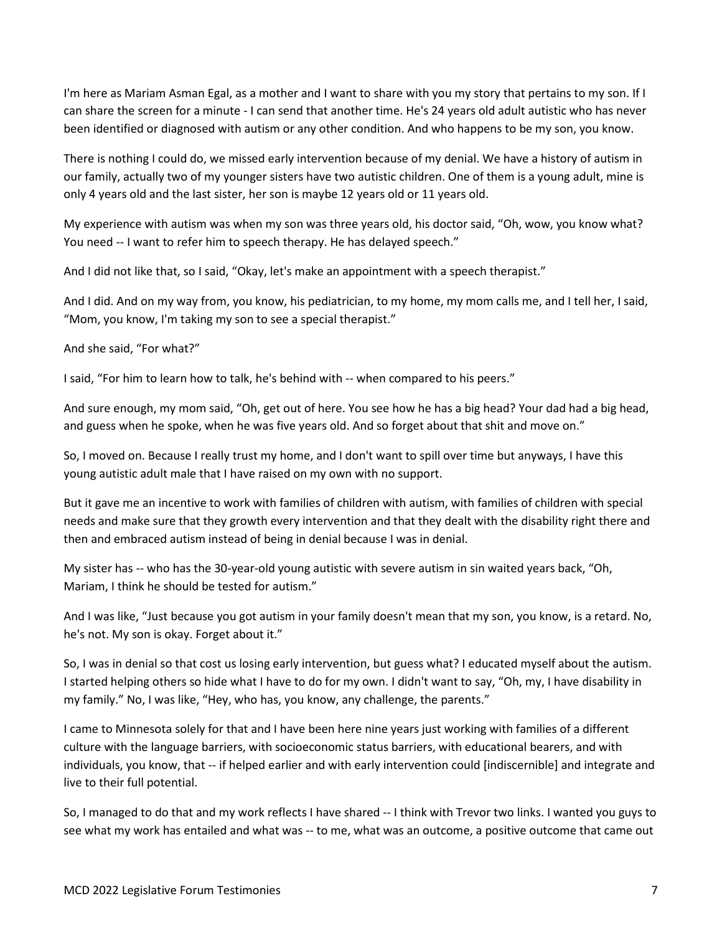I'm here as Mariam Asman Egal, as a mother and I want to share with you my story that pertains to my son. If I can share the screen for a minute - I can send that another time. He's 24 years old adult autistic who has never been identified or diagnosed with autism or any other condition. And who happens to be my son, you know.

There is nothing I could do, we missed early intervention because of my denial. We have a history of autism in our family, actually two of my younger sisters have two autistic children. One of them is a young adult, mine is only 4 years old and the last sister, her son is maybe 12 years old or 11 years old.

My experience with autism was when my son was three years old, his doctor said, "Oh, wow, you know what? You need -- I want to refer him to speech therapy. He has delayed speech."

And I did not like that, so I said, "Okay, let's make an appointment with a speech therapist."

And I did. And on my way from, you know, his pediatrician, to my home, my mom calls me, and I tell her, I said, "Mom, you know, I'm taking my son to see a special therapist."

And she said, "For what?"

I said, "For him to learn how to talk, he's behind with -- when compared to his peers."

And sure enough, my mom said, "Oh, get out of here. You see how he has a big head? Your dad had a big head, and guess when he spoke, when he was five years old. And so forget about that shit and move on."

So, I moved on. Because I really trust my home, and I don't want to spill over time but anyways, I have this young autistic adult male that I have raised on my own with no support.

But it gave me an incentive to work with families of children with autism, with families of children with special needs and make sure that they growth every intervention and that they dealt with the disability right there and then and embraced autism instead of being in denial because I was in denial.

My sister has -- who has the 30-year-old young autistic with severe autism in sin waited years back, "Oh, Mariam, I think he should be tested for autism."

And I was like, "Just because you got autism in your family doesn't mean that my son, you know, is a retard. No, he's not. My son is okay. Forget about it."

So, I was in denial so that cost us losing early intervention, but guess what? I educated myself about the autism. I started helping others so hide what I have to do for my own. I didn't want to say, "Oh, my, I have disability in my family." No, I was like, "Hey, who has, you know, any challenge, the parents."

I came to Minnesota solely for that and I have been here nine years just working with families of a different culture with the language barriers, with socioeconomic status barriers, with educational bearers, and with individuals, you know, that -- if helped earlier and with early intervention could [indiscernible] and integrate and live to their full potential.

So, I managed to do that and my work reflects I have shared -- I think with Trevor two links. I wanted you guys to see what my work has entailed and what was -- to me, what was an outcome, a positive outcome that came out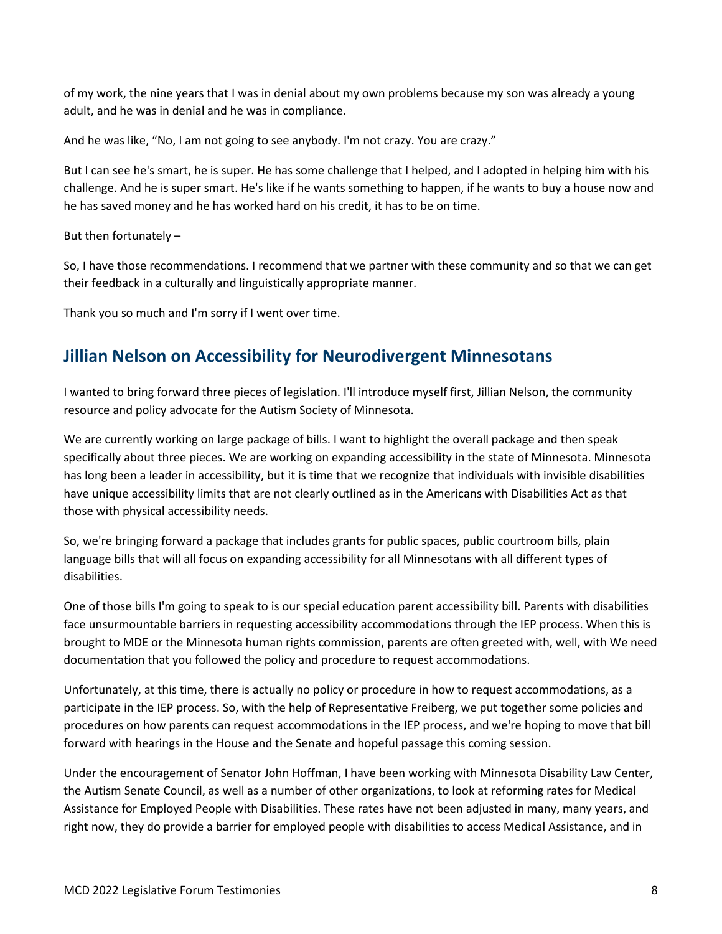of my work, the nine years that I was in denial about my own problems because my son was already a young adult, and he was in denial and he was in compliance.

And he was like, "No, I am not going to see anybody. I'm not crazy. You are crazy."

But I can see he's smart, he is super. He has some challenge that I helped, and I adopted in helping him with his challenge. And he is super smart. He's like if he wants something to happen, if he wants to buy a house now and he has saved money and he has worked hard on his credit, it has to be on time.

But then fortunately –

So, I have those recommendations. I recommend that we partner with these community and so that we can get their feedback in a culturally and linguistically appropriate manner.

Thank you so much and I'm sorry if I went over time.

### <span id="page-7-0"></span>**Jillian Nelson on Accessibility for Neurodivergent Minnesotans**

I wanted to bring forward three pieces of legislation. I'll introduce myself first, Jillian Nelson, the community resource and policy advocate for the Autism Society of Minnesota.

We are currently working on large package of bills. I want to highlight the overall package and then speak specifically about three pieces. We are working on expanding accessibility in the state of Minnesota. Minnesota has long been a leader in accessibility, but it is time that we recognize that individuals with invisible disabilities have unique accessibility limits that are not clearly outlined as in the Americans with Disabilities Act as that those with physical accessibility needs.

So, we're bringing forward a package that includes grants for public spaces, public courtroom bills, plain language bills that will all focus on expanding accessibility for all Minnesotans with all different types of disabilities.

One of those bills I'm going to speak to is our special education parent accessibility bill. Parents with disabilities face unsurmountable barriers in requesting accessibility accommodations through the IEP process. When this is brought to MDE or the Minnesota human rights commission, parents are often greeted with, well, with We need documentation that you followed the policy and procedure to request accommodations.

Unfortunately, at this time, there is actually no policy or procedure in how to request accommodations, as a participate in the IEP process. So, with the help of Representative Freiberg, we put together some policies and procedures on how parents can request accommodations in the IEP process, and we're hoping to move that bill forward with hearings in the House and the Senate and hopeful passage this coming session.

Under the encouragement of Senator John Hoffman, I have been working with Minnesota Disability Law Center, the Autism Senate Council, as well as a number of other organizations, to look at reforming rates for Medical Assistance for Employed People with Disabilities. These rates have not been adjusted in many, many years, and right now, they do provide a barrier for employed people with disabilities to access Medical Assistance, and in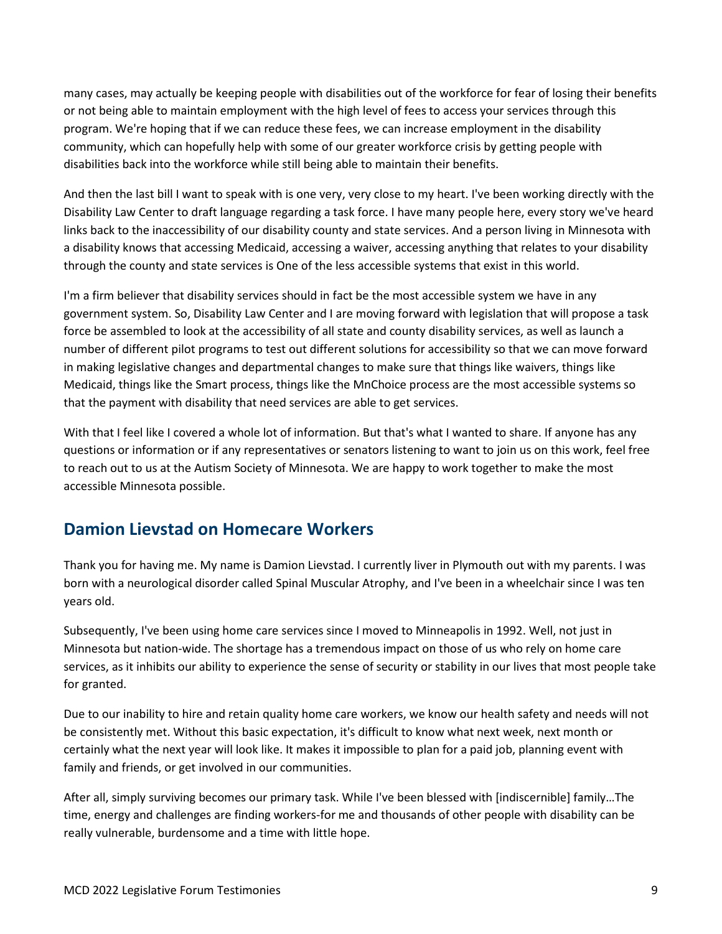many cases, may actually be keeping people with disabilities out of the workforce for fear of losing their benefits or not being able to maintain employment with the high level of fees to access your services through this program. We're hoping that if we can reduce these fees, we can increase employment in the disability community, which can hopefully help with some of our greater workforce crisis by getting people with disabilities back into the workforce while still being able to maintain their benefits.

And then the last bill I want to speak with is one very, very close to my heart. I've been working directly with the Disability Law Center to draft language regarding a task force. I have many people here, every story we've heard links back to the inaccessibility of our disability county and state services. And a person living in Minnesota with a disability knows that accessing Medicaid, accessing a waiver, accessing anything that relates to your disability through the county and state services is One of the less accessible systems that exist in this world.

I'm a firm believer that disability services should in fact be the most accessible system we have in any government system. So, Disability Law Center and I are moving forward with legislation that will propose a task force be assembled to look at the accessibility of all state and county disability services, as well as launch a number of different pilot programs to test out different solutions for accessibility so that we can move forward in making legislative changes and departmental changes to make sure that things like waivers, things like Medicaid, things like the Smart process, things like the MnChoice process are the most accessible systems so that the payment with disability that need services are able to get services.

With that I feel like I covered a whole lot of information. But that's what I wanted to share. If anyone has any questions or information or if any representatives or senators listening to want to join us on this work, feel free to reach out to us at the Autism Society of Minnesota. We are happy to work together to make the most accessible Minnesota possible.

### <span id="page-8-0"></span>**Damion Lievstad on Homecare Workers**

Thank you for having me. My name is Damion Lievstad. I currently liver in Plymouth out with my parents. I was born with a neurological disorder called Spinal Muscular Atrophy, and I've been in a wheelchair since I was ten years old.

Subsequently, I've been using home care services since I moved to Minneapolis in 1992. Well, not just in Minnesota but nation-wide. The shortage has a tremendous impact on those of us who rely on home care services, as it inhibits our ability to experience the sense of security or stability in our lives that most people take for granted.

Due to our inability to hire and retain quality home care workers, we know our health safety and needs will not be consistently met. Without this basic expectation, it's difficult to know what next week, next month or certainly what the next year will look like. It makes it impossible to plan for a paid job, planning event with family and friends, or get involved in our communities.

After all, simply surviving becomes our primary task. While I've been blessed with [indiscernible] family…The time, energy and challenges are finding workers-for me and thousands of other people with disability can be really vulnerable, burdensome and a time with little hope.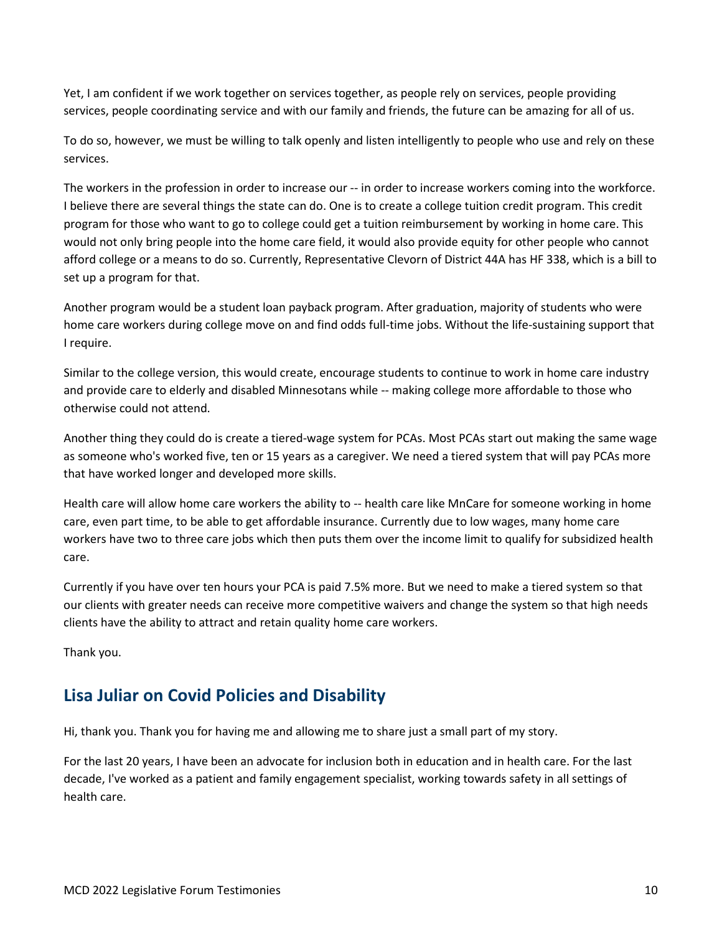Yet, I am confident if we work together on services together, as people rely on services, people providing services, people coordinating service and with our family and friends, the future can be amazing for all of us.

To do so, however, we must be willing to talk openly and listen intelligently to people who use and rely on these services.

The workers in the profession in order to increase our -- in order to increase workers coming into the workforce. I believe there are several things the state can do. One is to create a college tuition credit program. This credit program for those who want to go to college could get a tuition reimbursement by working in home care. This would not only bring people into the home care field, it would also provide equity for other people who cannot afford college or a means to do so. Currently, Representative Clevorn of District 44A has HF 338, which is a bill to set up a program for that.

Another program would be a student loan payback program. After graduation, majority of students who were home care workers during college move on and find odds full-time jobs. Without the life-sustaining support that I require.

Similar to the college version, this would create, encourage students to continue to work in home care industry and provide care to elderly and disabled Minnesotans while -- making college more affordable to those who otherwise could not attend.

Another thing they could do is create a tiered-wage system for PCAs. Most PCAs start out making the same wage as someone who's worked five, ten or 15 years as a caregiver. We need a tiered system that will pay PCAs more that have worked longer and developed more skills.

Health care will allow home care workers the ability to -- health care like MnCare for someone working in home care, even part time, to be able to get affordable insurance. Currently due to low wages, many home care workers have two to three care jobs which then puts them over the income limit to qualify for subsidized health care.

Currently if you have over ten hours your PCA is paid 7.5% more. But we need to make a tiered system so that our clients with greater needs can receive more competitive waivers and change the system so that high needs clients have the ability to attract and retain quality home care workers.

Thank you.

### <span id="page-9-0"></span>**Lisa Juliar on Covid Policies and Disability**

Hi, thank you. Thank you for having me and allowing me to share just a small part of my story.

For the last 20 years, I have been an advocate for inclusion both in education and in health care. For the last decade, I've worked as a patient and family engagement specialist, working towards safety in all settings of health care.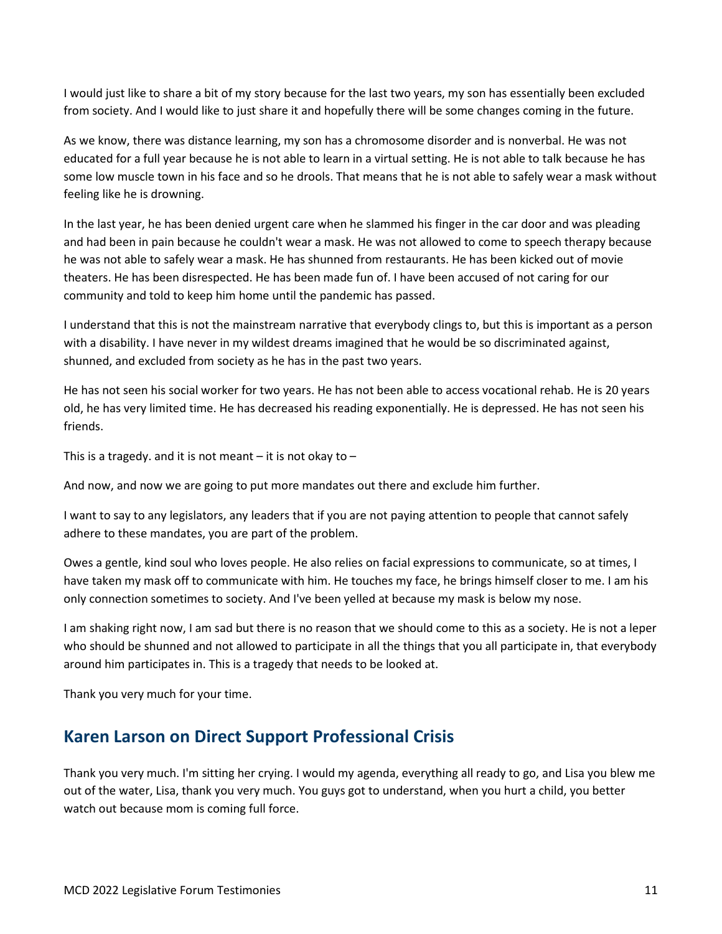I would just like to share a bit of my story because for the last two years, my son has essentially been excluded from society. And I would like to just share it and hopefully there will be some changes coming in the future.

As we know, there was distance learning, my son has a chromosome disorder and is nonverbal. He was not educated for a full year because he is not able to learn in a virtual setting. He is not able to talk because he has some low muscle town in his face and so he drools. That means that he is not able to safely wear a mask without feeling like he is drowning.

In the last year, he has been denied urgent care when he slammed his finger in the car door and was pleading and had been in pain because he couldn't wear a mask. He was not allowed to come to speech therapy because he was not able to safely wear a mask. He has shunned from restaurants. He has been kicked out of movie theaters. He has been disrespected. He has been made fun of. I have been accused of not caring for our community and told to keep him home until the pandemic has passed.

I understand that this is not the mainstream narrative that everybody clings to, but this is important as a person with a disability. I have never in my wildest dreams imagined that he would be so discriminated against, shunned, and excluded from society as he has in the past two years.

He has not seen his social worker for two years. He has not been able to access vocational rehab. He is 20 years old, he has very limited time. He has decreased his reading exponentially. He is depressed. He has not seen his friends.

This is a tragedy, and it is not meant  $-$  it is not okay to  $-$ 

And now, and now we are going to put more mandates out there and exclude him further.

I want to say to any legislators, any leaders that if you are not paying attention to people that cannot safely adhere to these mandates, you are part of the problem.

Owes a gentle, kind soul who loves people. He also relies on facial expressions to communicate, so at times, I have taken my mask off to communicate with him. He touches my face, he brings himself closer to me. I am his only connection sometimes to society. And I've been yelled at because my mask is below my nose.

I am shaking right now, I am sad but there is no reason that we should come to this as a society. He is not a leper who should be shunned and not allowed to participate in all the things that you all participate in, that everybody around him participates in. This is a tragedy that needs to be looked at.

Thank you very much for your time.

#### <span id="page-10-0"></span>**Karen Larson on Direct Support Professional Crisis**

Thank you very much. I'm sitting her crying. I would my agenda, everything all ready to go, and Lisa you blew me out of the water, Lisa, thank you very much. You guys got to understand, when you hurt a child, you better watch out because mom is coming full force.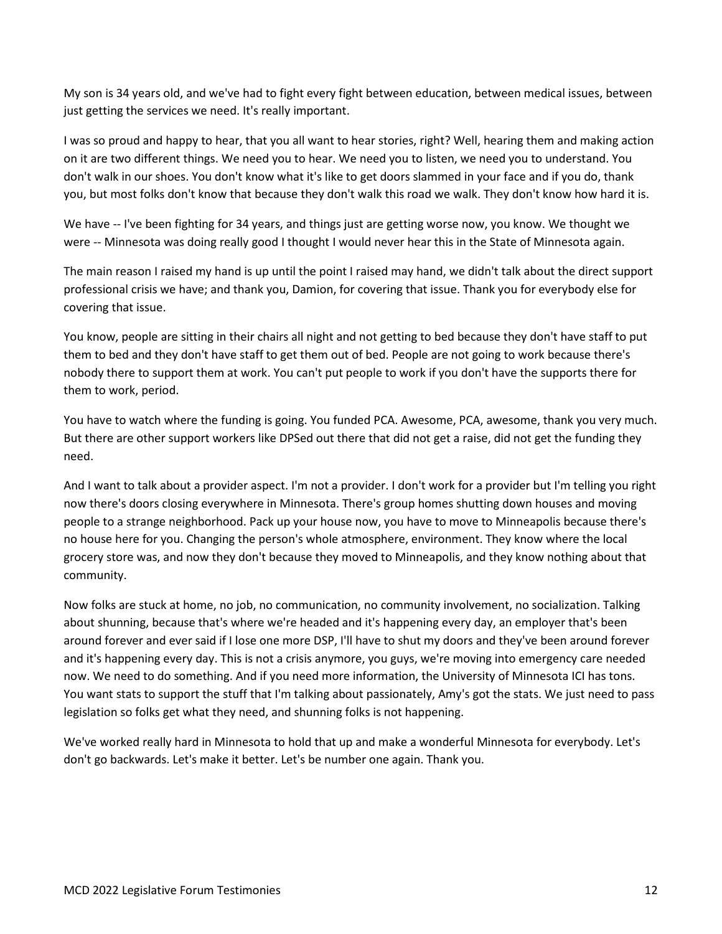My son is 34 years old, and we've had to fight every fight between education, between medical issues, between just getting the services we need. It's really important.

I was so proud and happy to hear, that you all want to hear stories, right? Well, hearing them and making action on it are two different things. We need you to hear. We need you to listen, we need you to understand. You don't walk in our shoes. You don't know what it's like to get doors slammed in your face and if you do, thank you, but most folks don't know that because they don't walk this road we walk. They don't know how hard it is.

We have -- I've been fighting for 34 years, and things just are getting worse now, you know. We thought we were -- Minnesota was doing really good I thought I would never hear this in the State of Minnesota again.

The main reason I raised my hand is up until the point I raised may hand, we didn't talk about the direct support professional crisis we have; and thank you, Damion, for covering that issue. Thank you for everybody else for covering that issue.

You know, people are sitting in their chairs all night and not getting to bed because they don't have staff to put them to bed and they don't have staff to get them out of bed. People are not going to work because there's nobody there to support them at work. You can't put people to work if you don't have the supports there for them to work, period.

You have to watch where the funding is going. You funded PCA. Awesome, PCA, awesome, thank you very much. But there are other support workers like DPSed out there that did not get a raise, did not get the funding they need.

And I want to talk about a provider aspect. I'm not a provider. I don't work for a provider but I'm telling you right now there's doors closing everywhere in Minnesota. There's group homes shutting down houses and moving people to a strange neighborhood. Pack up your house now, you have to move to Minneapolis because there's no house here for you. Changing the person's whole atmosphere, environment. They know where the local grocery store was, and now they don't because they moved to Minneapolis, and they know nothing about that community.

Now folks are stuck at home, no job, no communication, no community involvement, no socialization. Talking about shunning, because that's where we're headed and it's happening every day, an employer that's been around forever and ever said if I lose one more DSP, I'll have to shut my doors and they've been around forever and it's happening every day. This is not a crisis anymore, you guys, we're moving into emergency care needed now. We need to do something. And if you need more information, the University of Minnesota ICI has tons. You want stats to support the stuff that I'm talking about passionately, Amy's got the stats. We just need to pass legislation so folks get what they need, and shunning folks is not happening.

We've worked really hard in Minnesota to hold that up and make a wonderful Minnesota for everybody. Let's don't go backwards. Let's make it better. Let's be number one again. Thank you.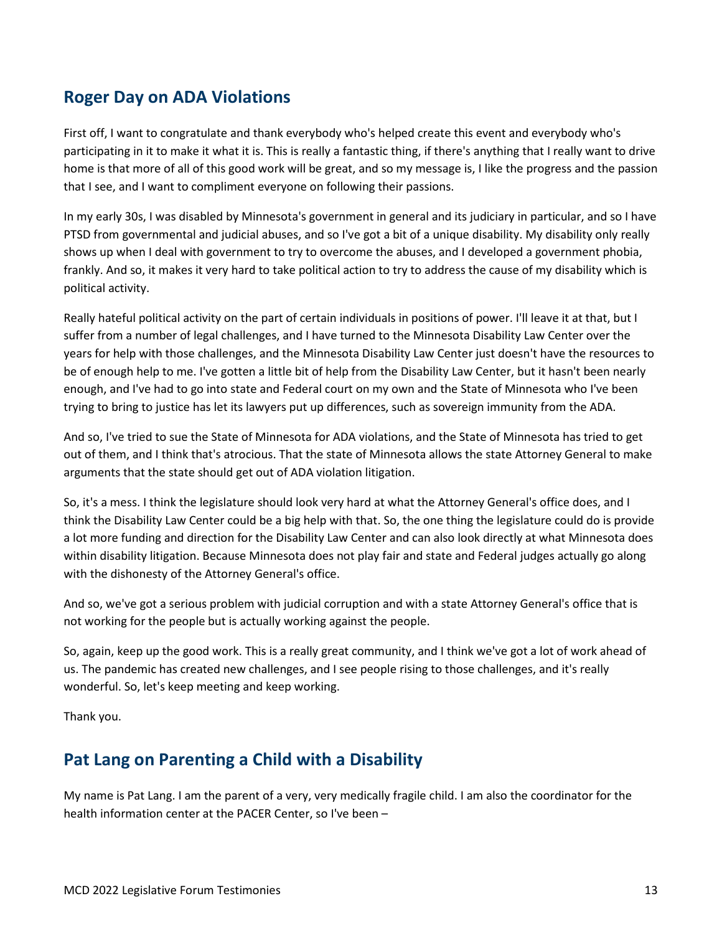### <span id="page-12-0"></span>**Roger Day on ADA Violations**

First off, I want to congratulate and thank everybody who's helped create this event and everybody who's participating in it to make it what it is. This is really a fantastic thing, if there's anything that I really want to drive home is that more of all of this good work will be great, and so my message is, I like the progress and the passion that I see, and I want to compliment everyone on following their passions.

In my early 30s, I was disabled by Minnesota's government in general and its judiciary in particular, and so I have PTSD from governmental and judicial abuses, and so I've got a bit of a unique disability. My disability only really shows up when I deal with government to try to overcome the abuses, and I developed a government phobia, frankly. And so, it makes it very hard to take political action to try to address the cause of my disability which is political activity.

Really hateful political activity on the part of certain individuals in positions of power. I'll leave it at that, but I suffer from a number of legal challenges, and I have turned to the Minnesota Disability Law Center over the years for help with those challenges, and the Minnesota Disability Law Center just doesn't have the resources to be of enough help to me. I've gotten a little bit of help from the Disability Law Center, but it hasn't been nearly enough, and I've had to go into state and Federal court on my own and the State of Minnesota who I've been trying to bring to justice has let its lawyers put up differences, such as sovereign immunity from the ADA.

And so, I've tried to sue the State of Minnesota for ADA violations, and the State of Minnesota has tried to get out of them, and I think that's atrocious. That the state of Minnesota allows the state Attorney General to make arguments that the state should get out of ADA violation litigation.

So, it's a mess. I think the legislature should look very hard at what the Attorney General's office does, and I think the Disability Law Center could be a big help with that. So, the one thing the legislature could do is provide a lot more funding and direction for the Disability Law Center and can also look directly at what Minnesota does within disability litigation. Because Minnesota does not play fair and state and Federal judges actually go along with the dishonesty of the Attorney General's office.

And so, we've got a serious problem with judicial corruption and with a state Attorney General's office that is not working for the people but is actually working against the people.

So, again, keep up the good work. This is a really great community, and I think we've got a lot of work ahead of us. The pandemic has created new challenges, and I see people rising to those challenges, and it's really wonderful. So, let's keep meeting and keep working.

Thank you.

### <span id="page-12-1"></span>**Pat Lang on Parenting a Child with a Disability**

My name is Pat Lang. I am the parent of a very, very medically fragile child. I am also the coordinator for the health information center at the PACER Center, so I've been –